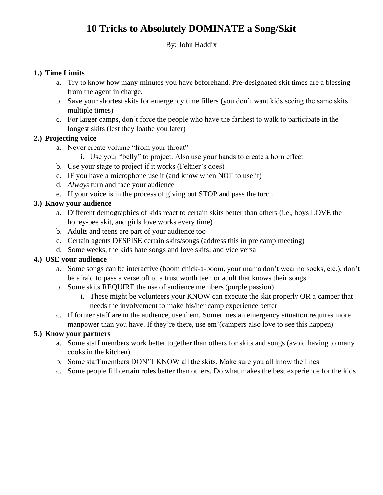# **10 Tricks to Absolutely DOMINATE a Song/Skit**

#### By: John Haddix

#### **1.) Time Limits**

- a. Try to know how many minutes you have beforehand. Pre-designated skit times are a blessing from the agent in charge.
- b. Save your shortest skits for emergency time fillers (you don't want kids seeing the same skits multiple times)
- c. For larger camps, don't force the people who have the farthest to walk to participate in the longest skits (lest they loathe you later)

## **2.) Projecting voice**

- a. Never create volume "from your throat"
	- i. Use your "belly" to project. Also use your hands to create a horn effect
- b. Use your stage to project if it works (Feltner's does)
- c. IF you have a microphone use it (and know when NOT to use it)
- d. *Always* turn and face your audience
- e. If your voice is in the process of giving out STOP and pass the torch

## **3.) Know your audience**

- a. Different demographics of kids react to certain skits better than others (i.e., boys LOVE the honey-bee skit, and girls love works every time)
- b. Adults and teens are part of your audience too
- c. Certain agents DESPISE certain skits/songs (address this in pre camp meeting)
- d. Some weeks, the kids hate songs and love skits; and vice versa

#### **4.) USE your audience**

- a. Some songs can be interactive (boom chick-a-boom, your mama don't wear no socks, etc.), don't be afraid to pass a verse off to a trust worth teen or adult that knows their songs.
- b. Some skits REQUIRE the use of audience members (purple passion)
	- i. These might be volunteers your KNOW can execute the skit properly OR a camper that needs the involvement to make his/her camp experience better
- c. If former staff are in the audience, use them. Sometimes an emergency situation requires more manpower than you have. If they're there, use em'(campers also love to see this happen)

# **5.) Know your partners**

- a. Some staff members work better together than others for skits and songs (avoid having to many cooks in the kitchen)
- b. Some staff members DON'T KNOW all the skits. Make sure you all know the lines
- c. Some people fill certain roles better than others. Do what makes the best experience for the kids